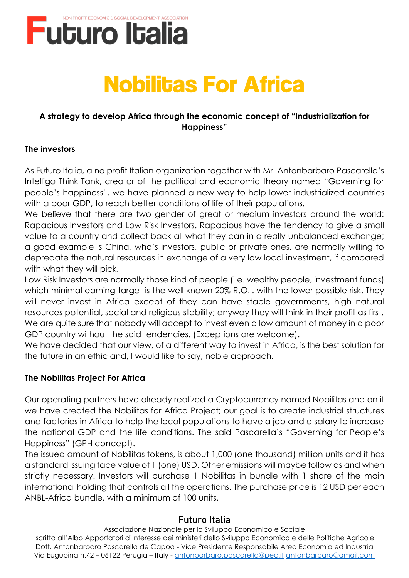

# **Nobilitas For Africa**

## **A strategy to develop Africa through the economic concept of "Industrialization for Happiness"**

## **The investors**

As Futuro Italia, a no profit Italian organization together with Mr. Antonbarbaro Pascarella's Intelligo Think Tank, creator of the political and economic theory named "Governing for people's happiness", we have planned a new way to help lower industrialized countries with a poor GDP, to reach better conditions of life of their populations.

We believe that there are two gender of great or medium investors around the world: Rapacious Investors and Low Risk Investors. Rapacious have the tendency to give a small value to a country and collect back all what they can in a really unbalanced exchange; a good example is China, who's investors, public or private ones, are normally willing to depredate the natural resources in exchange of a very low local investment, if compared with what they will pick.

Low Risk Investors are normally those kind of people (i.e. wealthy people, investment funds) which minimal earning target is the well known 20% R.O.I. with the lower possible risk. They will never invest in Africa except of they can have stable governments, high natural resources potential, social and religious stability; anyway they will think in their profit as first. We are quite sure that nobody will accept to invest even a low amount of money in a poor GDP country without the said tendencies. (Exceptions are welcome).

We have decided that our view, of a different way to invest in Africa, is the best solution for the future in an ethic and, I would like to say, noble approach.

## **The Nobilitas Project For Africa**

Our operating partners have already realized a Cryptocurrency named Nobilitas and on it we have created the Nobilitas for Africa Project; our goal is to create industrial structures and factories in Africa to help the local populations to have a job and a salary to increase the national GDP and the life conditions. The said Pascarella's "Governing for People's Happiness" (GPH concept).

The issued amount of Nobilitas tokens, is about 1,000 (one thousand) million units and it has a standard issuing face value of 1 (one) USD. Other emissions will maybe follow as and when strictly necessary. Investors will purchase 1 Nobilitas in bundle with 1 share of the main international holding that controls all the operations. The purchase price is 12 USD per each ANBL-Africa bundle, with a minimum of 100 units.

## **Futuro Italia**

Associazione Nazionale per lo Sviluppo Economico e Sociale Iscritta all'Albo Apportatori d'Interesse dei ministeri dello Sviluppo Economico e delle Politiche Agricole Dott. Antonbarbaro Pascarella de Capoa - Vice Presidente Responsabile Area Economia ed Industria Via Eugubina n.42 - 06122 Perugia - Italy - [antonbarbaro.pascarella@pec.it](mailto:antonbarbaro.pascarella@pec.it) [antonbarbaro@gmail.com](mailto:antonbarbaro@gmail.com)